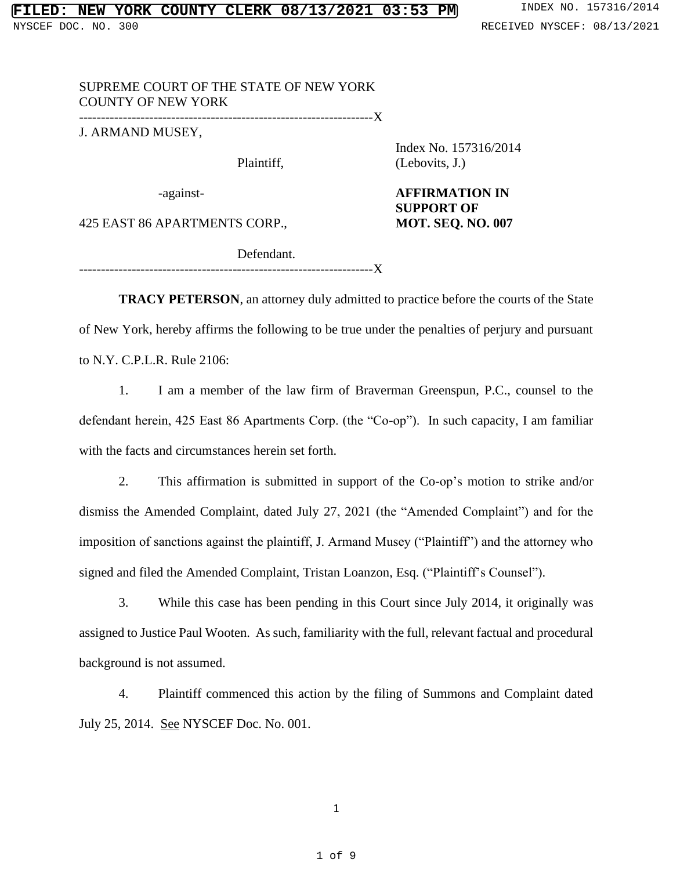## SUPREME COURT OF THE STATE OF NEW YORK COUNTY OF NEW YORK

-------------------------------------------------------------------X

J. ARMAND MUSEY,

Index No. 157316/2014 Plaintiff, (Lebovits, J.)

-against- **AFFIRMATION IN SUPPORT OF** 

425 EAST 86 APARTMENTS CORP., **MOT. SEQ. NO. 007**

Defendant. -------------------------------------------------------------------X

**TRACY PETERSON**, an attorney duly admitted to practice before the courts of the State of New York, hereby affirms the following to be true under the penalties of perjury and pursuant to N.Y. C.P.L.R. Rule 2106:

1. I am a member of the law firm of Braverman Greenspun, P.C., counsel to the defendant herein, 425 East 86 Apartments Corp. (the "Co-op"). In such capacity, I am familiar with the facts and circumstances herein set forth.

2. This affirmation is submitted in support of the Co-op's motion to strike and/or dismiss the Amended Complaint, dated July 27, 2021 (the "Amended Complaint") and for the imposition of sanctions against the plaintiff, J. Armand Musey ("Plaintiff") and the attorney who signed and filed the Amended Complaint, Tristan Loanzon, Esq. ("Plaintiff's Counsel").

3. While this case has been pending in this Court since July 2014, it originally was assigned to Justice Paul Wooten. As such, familiarity with the full, relevant factual and procedural background is not assumed.

4. Plaintiff commenced this action by the filing of Summons and Complaint dated July 25, 2014. See NYSCEF Doc. No. 001.

1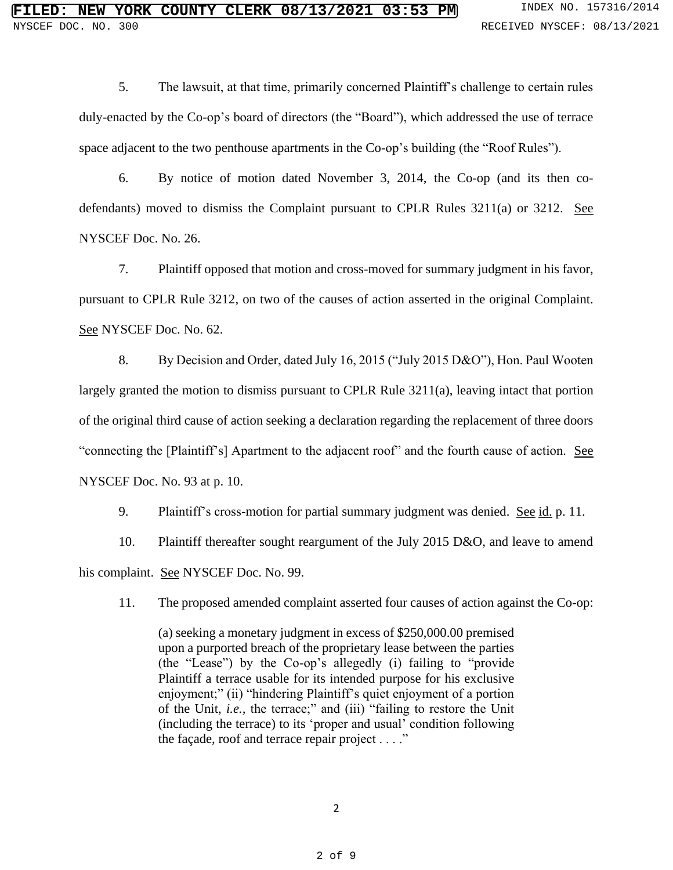5. The lawsuit, at that time, primarily concerned Plaintiff's challenge to certain rules duly-enacted by the Co-op's board of directors (the "Board"), which addressed the use of terrace space adjacent to the two penthouse apartments in the Co-op's building (the "Roof Rules").

6. By notice of motion dated November 3, 2014, the Co-op (and its then codefendants) moved to dismiss the Complaint pursuant to CPLR Rules 3211(a) or 3212. See NYSCEF Doc. No. 26.

7. Plaintiff opposed that motion and cross-moved for summary judgment in his favor, pursuant to CPLR Rule 3212, on two of the causes of action asserted in the original Complaint. See NYSCEF Doc. No. 62.

8. By Decision and Order, dated July 16, 2015 ("July 2015 D&O"), Hon. Paul Wooten largely granted the motion to dismiss pursuant to CPLR Rule 3211(a), leaving intact that portion of the original third cause of action seeking a declaration regarding the replacement of three doors "connecting the [Plaintiff's] Apartment to the adjacent roof" and the fourth cause of action. See NYSCEF Doc. No. 93 at p. 10.

9. Plaintiff's cross-motion for partial summary judgment was denied. See id. p. 11.

10. Plaintiff thereafter sought reargument of the July 2015 D&O, and leave to amend his complaint. See NYSCEF Doc. No. 99.

11. The proposed amended complaint asserted four causes of action against the Co-op:

(a) seeking a monetary judgment in excess of \$250,000.00 premised upon a purported breach of the proprietary lease between the parties (the "Lease") by the Co-op's allegedly (i) failing to "provide Plaintiff a terrace usable for its intended purpose for his exclusive enjoyment;" (ii) "hindering Plaintiff's quiet enjoyment of a portion of the Unit, *i.e.,* the terrace;" and (iii) "failing to restore the Unit (including the terrace) to its 'proper and usual' condition following the façade, roof and terrace repair project  $\dots$ ."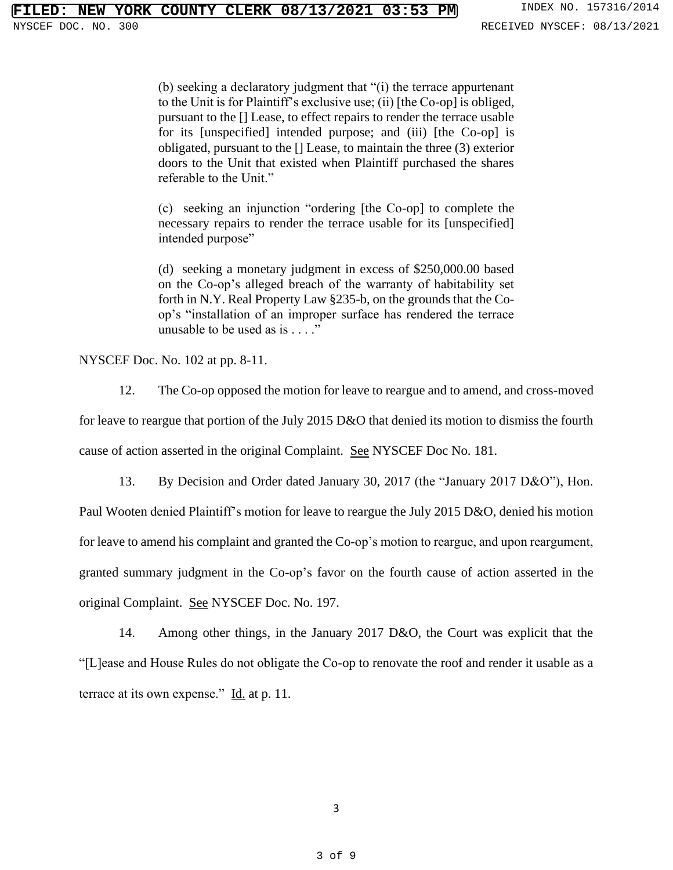(b) seeking a declaratory judgment that "(i) the terrace appurtenant to the Unit is for Plaintiff's exclusive use; (ii) [the Co-op] is obliged, pursuant to the [] Lease, to effect repairs to render the terrace usable for its [unspecified] intended purpose; and (iii) [the Co-op] is obligated, pursuant to the [] Lease, to maintain the three (3) exterior doors to the Unit that existed when Plaintiff purchased the shares referable to the Unit."

(c) seeking an injunction "ordering [the Co-op] to complete the necessary repairs to render the terrace usable for its [unspecified] intended purpose"

(d) seeking a monetary judgment in excess of \$250,000.00 based on the Co-op's alleged breach of the warranty of habitability set forth in N.Y. Real Property Law §235-b, on the grounds that the Coop's "installation of an improper surface has rendered the terrace unusable to be used as is . . . ."

NYSCEF Doc. No. 102 at pp. 8-11.

12. The Co-op opposed the motion for leave to reargue and to amend, and cross-moved

for leave to reargue that portion of the July 2015 D&O that denied its motion to dismiss the fourth

cause of action asserted in the original Complaint. See NYSCEF Doc No. 181.

13. By Decision and Order dated January 30, 2017 (the "January 2017 D&O"), Hon.

Paul Wooten denied Plaintiff's motion for leave to reargue the July 2015 D&O, denied his motion for leave to amend his complaint and granted the Co-op's motion to reargue, and upon reargument, granted summary judgment in the Co-op's favor on the fourth cause of action asserted in the original Complaint. See NYSCEF Doc. No. 197.

14. Among other things, in the January 2017 D&O, the Court was explicit that the "[L]ease and House Rules do not obligate the Co-op to renovate the roof and render it usable as a terrace at its own expense."  $\underline{Id}$  at p. 11.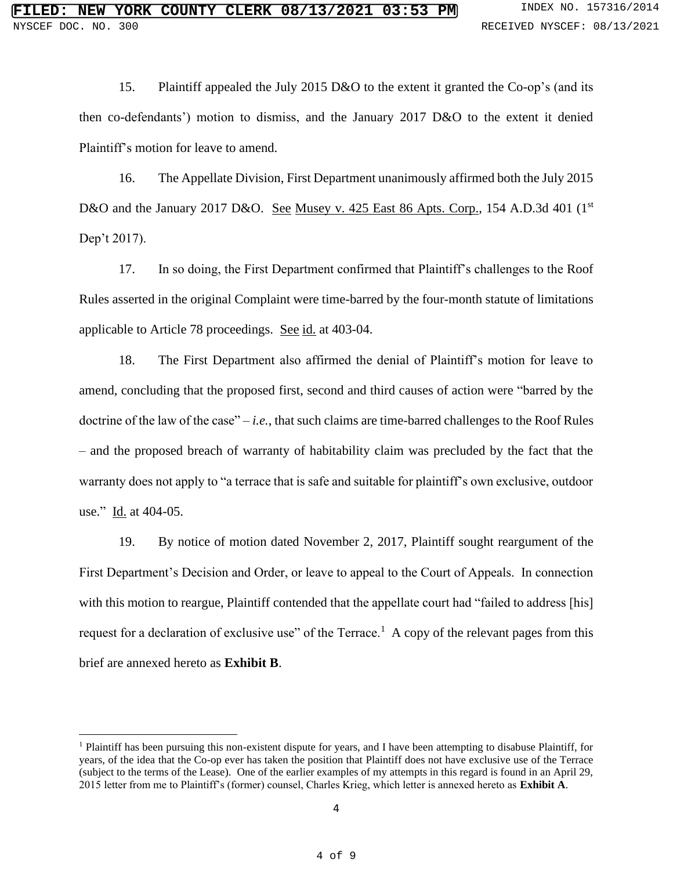15. Plaintiff appealed the July 2015 D&O to the extent it granted the Co-op's (and its then co-defendants') motion to dismiss, and the January 2017 D&O to the extent it denied Plaintiff's motion for leave to amend.

16. The Appellate Division, First Department unanimously affirmed both the July 2015 D&O and the January 2017 D&O. See Musey v. 425 East 86 Apts. Corp., 154 A.D.3d 401 (1<sup>st</sup>) Dep't 2017).

17. In so doing, the First Department confirmed that Plaintiff's challenges to the Roof Rules asserted in the original Complaint were time-barred by the four-month statute of limitations applicable to Article 78 proceedings. See id. at 403-04.

18. The First Department also affirmed the denial of Plaintiff's motion for leave to amend, concluding that the proposed first, second and third causes of action were "barred by the doctrine of the law of the case" – *i.e.*, that such claims are time-barred challenges to the Roof Rules – and the proposed breach of warranty of habitability claim was precluded by the fact that the warranty does not apply to "a terrace that is safe and suitable for plaintiff's own exclusive, outdoor use." Id. at 404-05.

19. By notice of motion dated November 2, 2017, Plaintiff sought reargument of the First Department's Decision and Order, or leave to appeal to the Court of Appeals. In connection with this motion to reargue, Plaintiff contended that the appellate court had "failed to address [his] request for a declaration of exclusive use" of the Terrace.<sup>1</sup> A copy of the relevant pages from this brief are annexed hereto as **Exhibit B**.

 $<sup>1</sup>$  Plaintiff has been pursuing this non-existent dispute for years, and I have been attempting to disabuse Plaintiff, for</sup> years, of the idea that the Co-op ever has taken the position that Plaintiff does not have exclusive use of the Terrace (subject to the terms of the Lease). One of the earlier examples of my attempts in this regard is found in an April 29, 2015 letter from me to Plaintiff's (former) counsel, Charles Krieg, which letter is annexed hereto as **Exhibit A**.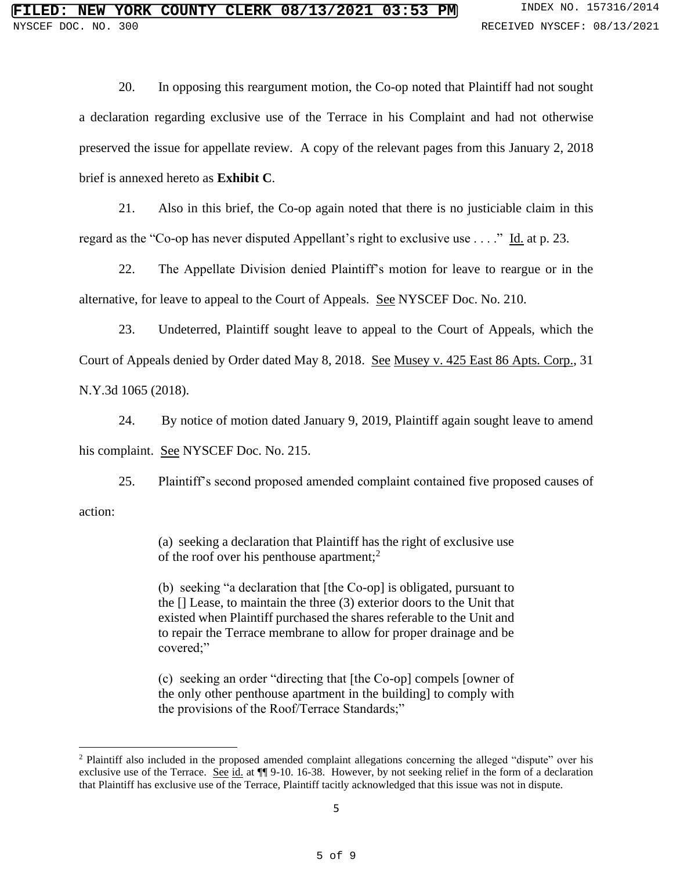20. In opposing this reargument motion, the Co-op noted that Plaintiff had not sought a declaration regarding exclusive use of the Terrace in his Complaint and had not otherwise preserved the issue for appellate review. A copy of the relevant pages from this January 2, 2018 brief is annexed hereto as **Exhibit C**.

21. Also in this brief, the Co-op again noted that there is no justiciable claim in this regard as the "Co-op has never disputed Appellant's right to exclusive use  $\dots$ ." Id. at p. 23.

22. The Appellate Division denied Plaintiff's motion for leave to reargue or in the alternative, for leave to appeal to the Court of Appeals. See NYSCEF Doc. No. 210.

23. Undeterred, Plaintiff sought leave to appeal to the Court of Appeals, which the Court of Appeals denied by Order dated May 8, 2018. See Musey v. 425 East 86 Apts. Corp., 31 N.Y.3d 1065 (2018).

24. By notice of motion dated January 9, 2019, Plaintiff again sought leave to amend his complaint. See NYSCEF Doc. No. 215.

25. Plaintiff's second proposed amended complaint contained five proposed causes of action:

> (a) seeking a declaration that Plaintiff has the right of exclusive use of the roof over his penthouse apartment;<sup>2</sup>

> (b) seeking "a declaration that [the Co-op] is obligated, pursuant to the [] Lease, to maintain the three (3) exterior doors to the Unit that existed when Plaintiff purchased the shares referable to the Unit and to repair the Terrace membrane to allow for proper drainage and be covered;"

> (c) seeking an order "directing that [the Co-op] compels [owner of the only other penthouse apartment in the building] to comply with the provisions of the Roof/Terrace Standards;"

<sup>2</sup> Plaintiff also included in the proposed amended complaint allegations concerning the alleged "dispute" over his exclusive use of the Terrace. See id. at  $\P$  9-10. 16-38. However, by not seeking relief in the form of a declaration that Plaintiff has exclusive use of the Terrace, Plaintiff tacitly acknowledged that this issue was not in dispute.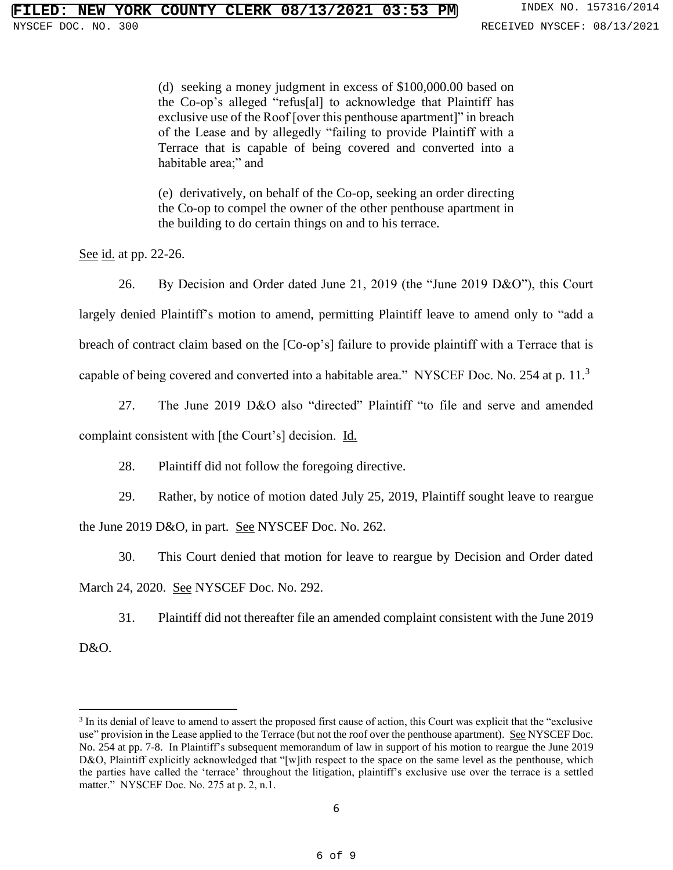(d) seeking a money judgment in excess of \$100,000.00 based on the Co-op's alleged "refus[al] to acknowledge that Plaintiff has exclusive use of the Roof [over this penthouse apartment]" in breach of the Lease and by allegedly "failing to provide Plaintiff with a Terrace that is capable of being covered and converted into a habitable area;" and

(e) derivatively, on behalf of the Co-op, seeking an order directing the Co-op to compel the owner of the other penthouse apartment in the building to do certain things on and to his terrace.

See id. at pp. 22-26.

26. By Decision and Order dated June 21, 2019 (the "June 2019 D&O"), this Court largely denied Plaintiff's motion to amend, permitting Plaintiff leave to amend only to "add a breach of contract claim based on the [Co-op's] failure to provide plaintiff with a Terrace that is capable of being covered and converted into a habitable area." NYSCEF Doc. No. 254 at p. 11.<sup>3</sup>

27. The June 2019 D&O also "directed" Plaintiff "to file and serve and amended

complaint consistent with [the Court's] decision. Id.

28. Plaintiff did not follow the foregoing directive.

29. Rather, by notice of motion dated July 25, 2019, Plaintiff sought leave to reargue the June 2019 D&O, in part. See NYSCEF Doc. No. 262.

30. This Court denied that motion for leave to reargue by Decision and Order dated March 24, 2020. See NYSCEF Doc. No. 292.

31. Plaintiff did not thereafter file an amended complaint consistent with the June 2019

D&O.

<sup>&</sup>lt;sup>3</sup> In its denial of leave to amend to assert the proposed first cause of action, this Court was explicit that the "exclusive use" provision in the Lease applied to the Terrace (but not the roof over the penthouse apartment). See NYSCEF Doc. No. 254 at pp. 7-8. In Plaintiff's subsequent memorandum of law in support of his motion to reargue the June 2019 D&O, Plaintiff explicitly acknowledged that "[w]ith respect to the space on the same level as the penthouse, which the parties have called the 'terrace' throughout the litigation, plaintiff's exclusive use over the terrace is a settled matter." NYSCEF Doc. No. 275 at p. 2, n.1.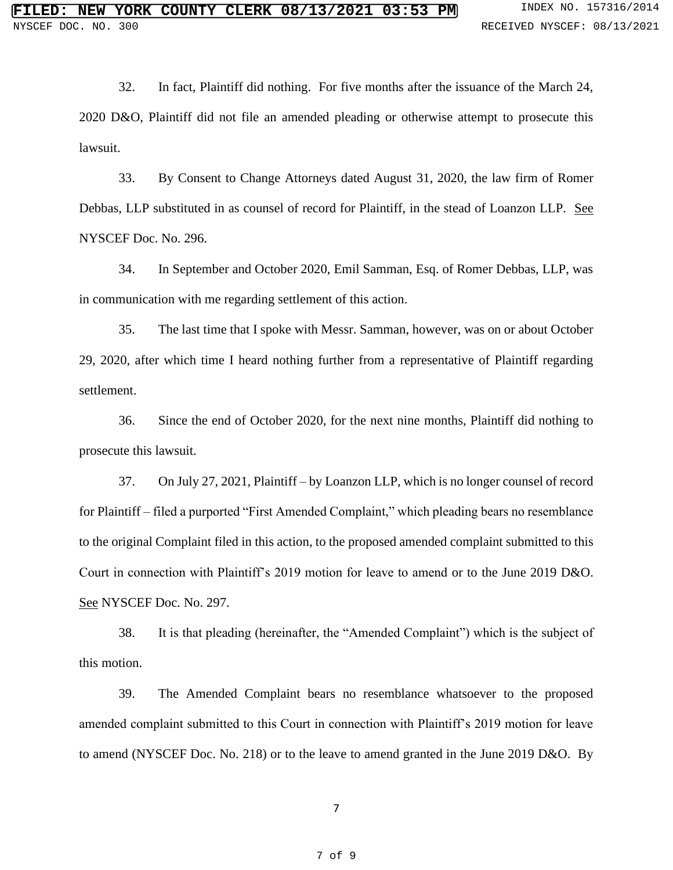32. In fact, Plaintiff did nothing. For five months after the issuance of the March 24, 2020 D&O, Plaintiff did not file an amended pleading or otherwise attempt to prosecute this lawsuit.

33. By Consent to Change Attorneys dated August 31, 2020, the law firm of Romer Debbas, LLP substituted in as counsel of record for Plaintiff, in the stead of Loanzon LLP. See NYSCEF Doc. No. 296.

34. In September and October 2020, Emil Samman, Esq. of Romer Debbas, LLP, was in communication with me regarding settlement of this action.

35. The last time that I spoke with Messr. Samman, however, was on or about October 29, 2020, after which time I heard nothing further from a representative of Plaintiff regarding settlement.

36. Since the end of October 2020, for the next nine months, Plaintiff did nothing to prosecute this lawsuit.

37. On July 27, 2021, Plaintiff – by Loanzon LLP, which is no longer counsel of record for Plaintiff – filed a purported "First Amended Complaint," which pleading bears no resemblance to the original Complaint filed in this action, to the proposed amended complaint submitted to this Court in connection with Plaintiff's 2019 motion for leave to amend or to the June 2019 D&O. See NYSCEF Doc. No. 297.

38. It is that pleading (hereinafter, the "Amended Complaint") which is the subject of this motion.

39. The Amended Complaint bears no resemblance whatsoever to the proposed amended complaint submitted to this Court in connection with Plaintiff's 2019 motion for leave to amend (NYSCEF Doc. No. 218) or to the leave to amend granted in the June 2019 D&O. By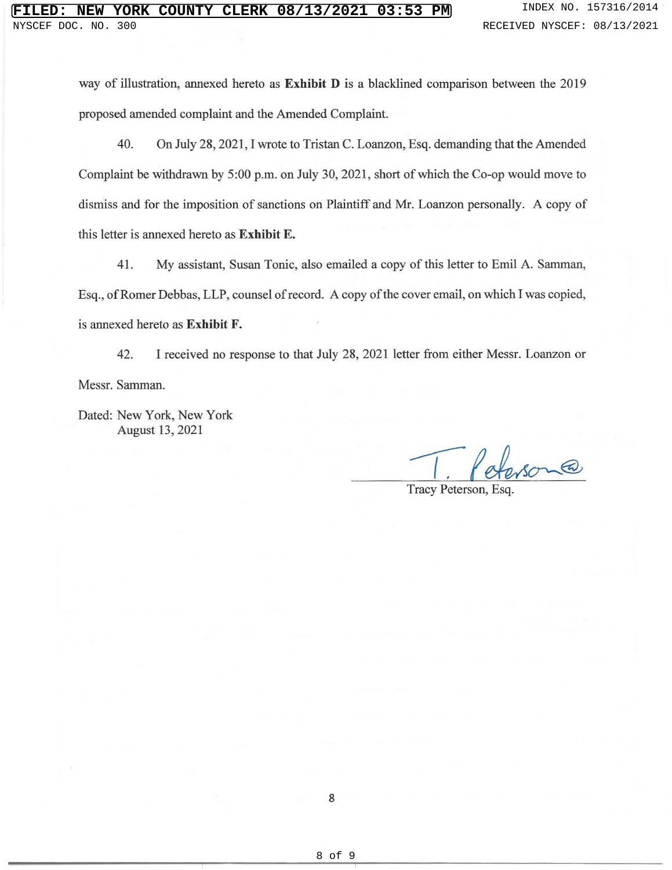way of illustration, annexed hereto as **Exhibit D** is a blacklined comparison between the 2019 proposed amended complaint and the Amended Complaint.

40. On July 28, 2021, I wrote to Tristan C. Loanzon, Esq. demanding that the Amended Complaint be withdrawn by 5:00 p.m. on July 30, 2021 , short of which the Co-op would move to dismiss and for the imposition of sanctions on Plaintiff and Mr. Loanzon personally. A copy of this letter is annexed hereto as **Exhibit E.** 

41. My assistant, Susan Tonic, also emailed a copy of this letter to Emil A. Samman, Esq., of Romer Debbas, LLP, counsel ofrecord. A copy of the cover email, on which I was copied, is annexed hereto as **Exhibit F.** 

42. I received no response to that July 28, 2021 letter from either Messr. Loanzon or Messr. Samman.

Dated: New York, New York August 13, 2021

Tracy Peterson, Esq